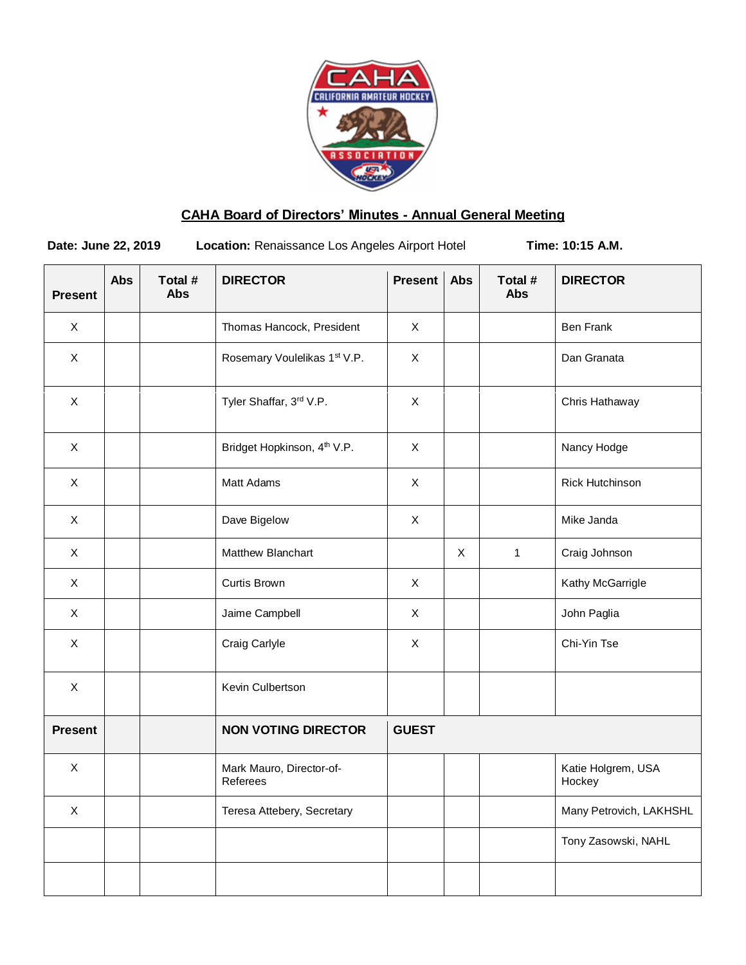

# **CAHA Board of Directors' Minutes - Annual General Meeting**

**Date: June 22, 2019** Location: Renaissance Los Angeles Airport Hotel **Time: 10:15 A.M.** 

| <b>Present</b> | <b>Abs</b> | Total #<br><b>Abs</b> | <b>DIRECTOR</b>                         | <b>Present</b> | Abs | Total #<br>Abs | <b>DIRECTOR</b>              |
|----------------|------------|-----------------------|-----------------------------------------|----------------|-----|----------------|------------------------------|
| $\pmb{\times}$ |            |                       | Thomas Hancock, President               | $\pmb{\times}$ |     |                | <b>Ben Frank</b>             |
| $\pmb{\times}$ |            |                       | Rosemary Voulelikas 1st V.P.            | $\pmb{\times}$ |     |                | Dan Granata                  |
| $\mathsf X$    |            |                       | Tyler Shaffar, 3rd V.P.                 | $\pmb{\times}$ |     |                | Chris Hathaway               |
| $\mathsf X$    |            |                       | Bridget Hopkinson, 4 <sup>th</sup> V.P. | $\mathsf X$    |     |                | Nancy Hodge                  |
| $\pmb{\times}$ |            |                       | Matt Adams                              | $\pmb{\times}$ |     |                | Rick Hutchinson              |
| $\mathsf{X}$   |            |                       | Dave Bigelow                            | $\mathsf X$    |     |                | Mike Janda                   |
| $\mathsf X$    |            |                       | Matthew Blanchart                       |                | X   | $\mathbf{1}$   | Craig Johnson                |
| $\mathsf X$    |            |                       | Curtis Brown                            | $\mathsf{X}$   |     |                | Kathy McGarrigle             |
| $\mathsf{X}$   |            |                       | Jaime Campbell                          | $\mathsf X$    |     |                | John Paglia                  |
| $\pmb{\times}$ |            |                       | Craig Carlyle                           | $\pmb{\times}$ |     |                | Chi-Yin Tse                  |
| $\mathsf X$    |            |                       | Kevin Culbertson                        |                |     |                |                              |
| <b>Present</b> |            |                       | <b>NON VOTING DIRECTOR</b>              | <b>GUEST</b>   |     |                |                              |
| $\mathsf X$    |            |                       | Mark Mauro, Director-of-<br>Referees    |                |     |                | Katie Holgrem, USA<br>Hockey |
| $\pmb{\times}$ |            |                       | Teresa Attebery, Secretary              |                |     |                | Many Petrovich, LAKHSHL      |
|                |            |                       |                                         |                |     |                | Tony Zasowski, NAHL          |
|                |            |                       |                                         |                |     |                |                              |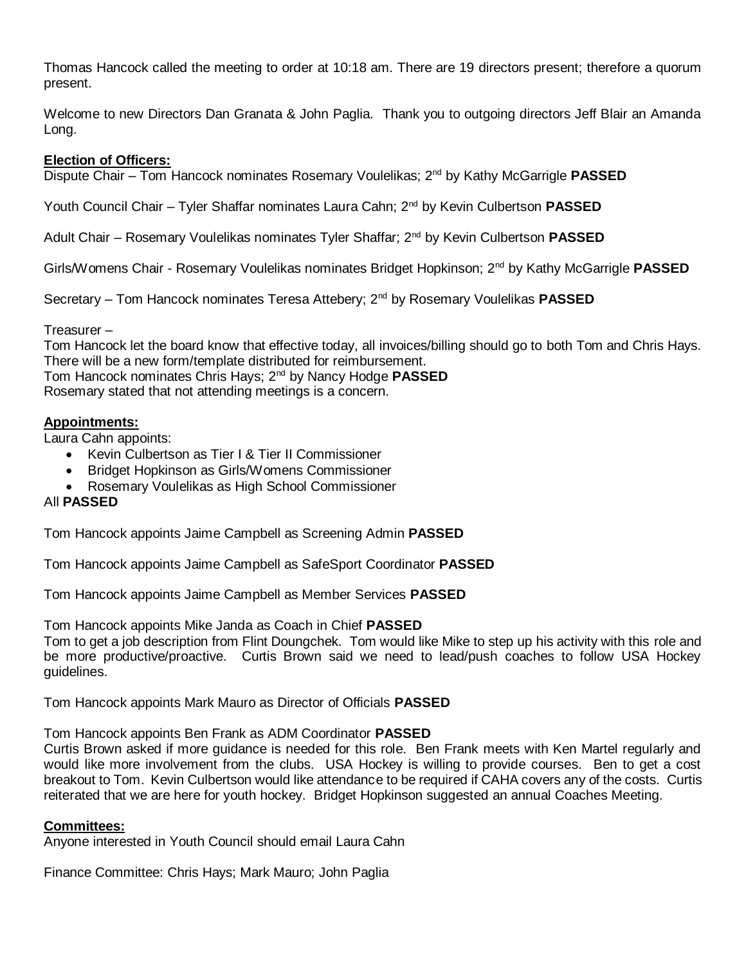Thomas Hancock called the meeting to order at 10:18 am. There are 19 directors present; therefore a quorum present.

Welcome to new Directors Dan Granata & John Paglia. Thank you to outgoing directors Jeff Blair an Amanda Long.

# **Election of Officers:**

Dispute Chair – Tom Hancock nominates Rosemary Voulelikas; 2nd by Kathy McGarrigle **PASSED**

Youth Council Chair – Tyler Shaffar nominates Laura Cahn; 2nd by Kevin Culbertson **PASSED**

Adult Chair – Rosemary Voulelikas nominates Tyler Shaffar; 2nd by Kevin Culbertson **PASSED**

Girls/Womens Chair - Rosemary Voulelikas nominates Bridget Hopkinson; 2nd by Kathy McGarrigle **PASSED**

Secretary – Tom Hancock nominates Teresa Attebery; 2nd by Rosemary Voulelikas **PASSED**

## Treasurer –

Tom Hancock let the board know that effective today, all invoices/billing should go to both Tom and Chris Hays. There will be a new form/template distributed for reimbursement. Tom Hancock nominates Chris Hays; 2nd by Nancy Hodge **PASSED**

Rosemary stated that not attending meetings is a concern.

# **Appointments:**

Laura Cahn appoints:

- Kevin Culbertson as Tier I & Tier II Commissioner
- Bridget Hopkinson as Girls/Womens Commissioner
- Rosemary Voulelikas as High School Commissioner

## All **PASSED**

Tom Hancock appoints Jaime Campbell as Screening Admin **PASSED**

Tom Hancock appoints Jaime Campbell as SafeSport Coordinator **PASSED**

Tom Hancock appoints Jaime Campbell as Member Services **PASSED**

Tom Hancock appoints Mike Janda as Coach in Chief **PASSED**

Tom to get a job description from Flint Doungchek. Tom would like Mike to step up his activity with this role and be more productive/proactive. Curtis Brown said we need to lead/push coaches to follow USA Hockey guidelines.

Tom Hancock appoints Mark Mauro as Director of Officials **PASSED**

Tom Hancock appoints Ben Frank as ADM Coordinator **PASSED**

Curtis Brown asked if more guidance is needed for this role. Ben Frank meets with Ken Martel regularly and would like more involvement from the clubs. USA Hockey is willing to provide courses. Ben to get a cost breakout to Tom. Kevin Culbertson would like attendance to be required if CAHA covers any of the costs. Curtis reiterated that we are here for youth hockey. Bridget Hopkinson suggested an annual Coaches Meeting.

## **Committees:**

Anyone interested in Youth Council should email Laura Cahn

Finance Committee: Chris Hays; Mark Mauro; John Paglia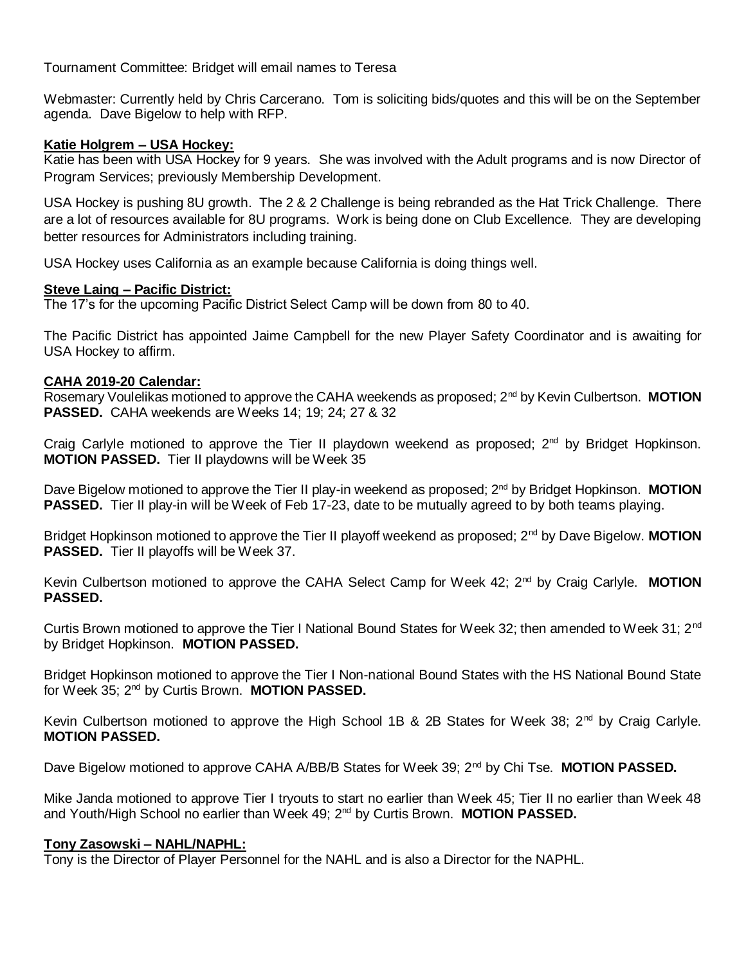Tournament Committee: Bridget will email names to Teresa

Webmaster: Currently held by Chris Carcerano. Tom is soliciting bids/quotes and this will be on the September agenda. Dave Bigelow to help with RFP.

# **Katie Holgrem – USA Hockey:**

Katie has been with USA Hockey for 9 years. She was involved with the Adult programs and is now Director of Program Services; previously Membership Development.

USA Hockey is pushing 8U growth. The 2 & 2 Challenge is being rebranded as the Hat Trick Challenge. There are a lot of resources available for 8U programs. Work is being done on Club Excellence. They are developing better resources for Administrators including training.

USA Hockey uses California as an example because California is doing things well.

# **Steve Laing – Pacific District:**

The 17's for the upcoming Pacific District Select Camp will be down from 80 to 40.

The Pacific District has appointed Jaime Campbell for the new Player Safety Coordinator and is awaiting for USA Hockey to affirm.

# **CAHA 2019-20 Calendar:**

Rosemary Voulelikas motioned to approve the CAHA weekends as proposed; 2<sup>nd</sup> by Kevin Culbertson. MOTION **PASSED.** CAHA weekends are Weeks 14; 19; 24; 27 & 32

Craig Carlyle motioned to approve the Tier II playdown weekend as proposed;  $2^{nd}$  by Bridget Hopkinson. **MOTION PASSED.** Tier II playdowns will be Week 35

Dave Bigelow motioned to approve the Tier II play-in weekend as proposed; 2<sup>nd</sup> by Bridget Hopkinson. **MOTION PASSED.** Tier II play-in will be Week of Feb 17-23, date to be mutually agreed to by both teams playing.

Bridget Hopkinson motioned to approve the Tier II playoff weekend as proposed; 2<sup>nd</sup> by Dave Bigelow. **MOTION PASSED.** Tier II playoffs will be Week 37.

Kevin Culbertson motioned to approve the CAHA Select Camp for Week 42; 2<sup>nd</sup> by Craig Carlyle. MOTION **PASSED.**

Curtis Brown motioned to approve the Tier I National Bound States for Week 32; then amended to Week 31; 2<sup>nd</sup> by Bridget Hopkinson. **MOTION PASSED.**

Bridget Hopkinson motioned to approve the Tier I Non-national Bound States with the HS National Bound State for Week 35; 2nd by Curtis Brown. **MOTION PASSED.**

Kevin Culbertson motioned to approve the High School 1B & 2B States for Week 38;  $2^{nd}$  by Craig Carlyle. **MOTION PASSED.**

Dave Bigelow motioned to approve CAHA A/BB/B States for Week 39; 2<sup>nd</sup> by Chi Tse. **MOTION PASSED.** 

Mike Janda motioned to approve Tier I tryouts to start no earlier than Week 45; Tier II no earlier than Week 48 and Youth/High School no earlier than Week 49; 2nd by Curtis Brown. **MOTION PASSED.**

## **Tony Zasowski – NAHL/NAPHL:**

Tony is the Director of Player Personnel for the NAHL and is also a Director for the NAPHL.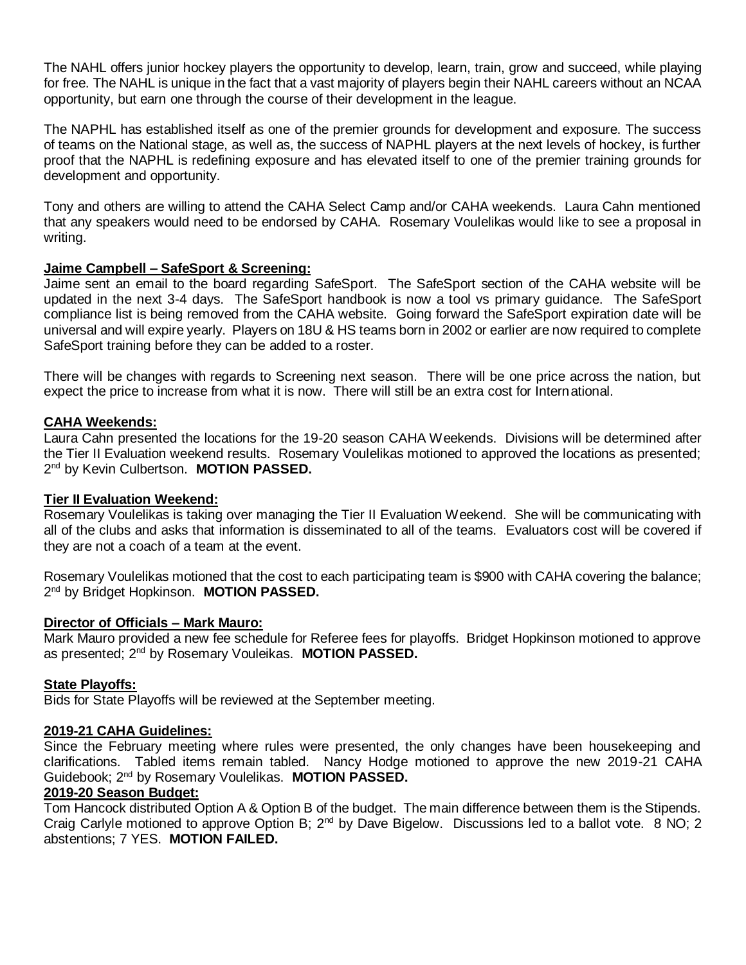The NAHL offers junior hockey players the opportunity to develop, learn, train, grow and succeed, while playing for free. The NAHL is unique in the fact that a vast majority of players begin their NAHL careers without an NCAA opportunity, but earn one through the course of their development in the league.

The NAPHL has established itself as one of the premier grounds for development and exposure. The success of teams on the National stage, as well as, the success of NAPHL players at the next levels of hockey, is further proof that the NAPHL is redefining exposure and has elevated itself to one of the premier training grounds for development and opportunity.

Tony and others are willing to attend the CAHA Select Camp and/or CAHA weekends. Laura Cahn mentioned that any speakers would need to be endorsed by CAHA. Rosemary Voulelikas would like to see a proposal in writing.

# **Jaime Campbell – SafeSport & Screening:**

Jaime sent an email to the board regarding SafeSport. The SafeSport section of the CAHA website will be updated in the next 3-4 days. The SafeSport handbook is now a tool vs primary guidance. The SafeSport compliance list is being removed from the CAHA website. Going forward the SafeSport expiration date will be universal and will expire yearly. Players on 18U & HS teams born in 2002 or earlier are now required to complete SafeSport training before they can be added to a roster.

There will be changes with regards to Screening next season. There will be one price across the nation, but expect the price to increase from what it is now. There will still be an extra cost for International.

# **CAHA Weekends:**

Laura Cahn presented the locations for the 19-20 season CAHA Weekends. Divisions will be determined after the Tier II Evaluation weekend results. Rosemary Voulelikas motioned to approved the locations as presented; 2 nd by Kevin Culbertson. **MOTION PASSED.**

## **Tier II Evaluation Weekend:**

Rosemary Voulelikas is taking over managing the Tier II Evaluation Weekend. She will be communicating with all of the clubs and asks that information is disseminated to all of the teams. Evaluators cost will be covered if they are not a coach of a team at the event.

Rosemary Voulelikas motioned that the cost to each participating team is \$900 with CAHA covering the balance; 2<sup>nd</sup> by Bridget Hopkinson. MOTION PASSED.

## **Director of Officials – Mark Mauro:**

Mark Mauro provided a new fee schedule for Referee fees for playoffs. Bridget Hopkinson motioned to approve as presented; 2nd by Rosemary Vouleikas. **MOTION PASSED.**

## **State Playoffs:**

Bids for State Playoffs will be reviewed at the September meeting.

## **2019-21 CAHA Guidelines:**

Since the February meeting where rules were presented, the only changes have been housekeeping and clarifications. Tabled items remain tabled. Nancy Hodge motioned to approve the new 2019-21 CAHA Guidebook; 2nd by Rosemary Voulelikas. **MOTION PASSED.**

## **2019-20 Season Budget:**

Tom Hancock distributed Option A & Option B of the budget. The main difference between them is the Stipends. Craig Carlyle motioned to approve Option B; 2<sup>nd</sup> by Dave Bigelow. Discussions led to a ballot vote. 8 NO; 2 abstentions; 7 YES. **MOTION FAILED.**